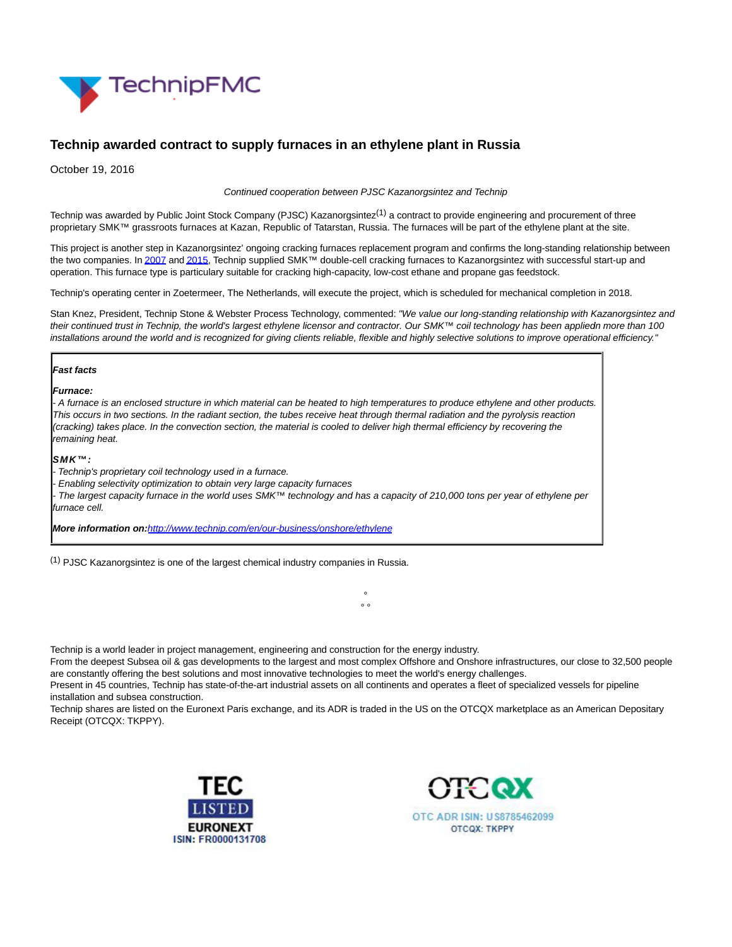

# **Technip awarded contract to supply furnaces in an ethylene plant in Russia**

October 19, 2016

Continued cooperation between PJSC Kazanorgsintez and Technip

Technip was awarded by Public Joint Stock Company (PJSC) Kazanorgsintez<sup>(1)</sup> a contract to provide engineering and procurement of three proprietary SMK™ grassroots furnaces at Kazan, Republic of Tatarstan, Russia. The furnaces will be part of the ethylene plant at the site.

This project is another step in Kazanorgsintez' ongoing cracking furnaces replacement program and confirms the long-standing relationship between the two companies. I[n 2007 a](http://www.technip.com/en/press/ethylene-expansion-project-award-russia)n[d 2015,](http://www.technip.com/en/press/technip-awarded-contract-supply-proprietary-furnace-technology-and-services-russia) Technip supplied SMK™ double-cell cracking furnaces to Kazanorgsintez with successful start-up and operation. This furnace type is particulary suitable for cracking high-capacity, low-cost ethane and propane gas feedstock.

Technip's operating center in Zoetermeer, The Netherlands, will execute the project, which is scheduled for mechanical completion in 2018.

Stan Knez, President, Technip Stone & Webster Process Technology, commented: "We value our long-standing relationship with Kazanorgsintez and their continued trust in Technip, the world's largest ethylene licensor and contractor. Our SMK™ coil technology has been appliedn more than 100 installations around the world and is recognized for giving clients reliable, flexible and highly selective solutions to improve operational efficiency."

#### **Fast facts**

**Furnace:**

- A furnace is an enclosed structure in which material can be heated to high temperatures to produce ethylene and other products. This occurs in two sections. In the radiant section, the tubes receive heat through thermal radiation and the pyrolysis reaction (cracking) takes place. In the convection section, the material is cooled to deliver high thermal efficiency by recovering the remaining heat.

#### **SMK™:**

Technip's proprietary coil technology used in a furnace.

- Enabling selectivity optimization to obtain very large capacity furnaces

The largest capacity furnace in the world uses SMK™ technology and has a capacity of 210,000 tons per year of ethylene per furnace cell.

**More information on:**<http://www.technip.com/en/our-business/onshore/ethylene>

 $(1)$  PJSC Kazanorgsintez is one of the largest chemical industry companies in Russia.

Technip is a world leader in project management, engineering and construction for the energy industry.

From the deepest Subsea oil & gas developments to the largest and most complex Offshore and Onshore infrastructures, our close to 32,500 people are constantly offering the best solutions and most innovative technologies to meet the world's energy challenges.

°  $\circ$ 

Present in 45 countries, Technip has state-of-the-art industrial assets on all continents and operates a fleet of specialized vessels for pipeline installation and subsea construction.

Technip shares are listed on the Euronext Paris exchange, and its ADR is traded in the US on the OTCQX marketplace as an American Depositary Receipt (OTCQX: TKPPY).